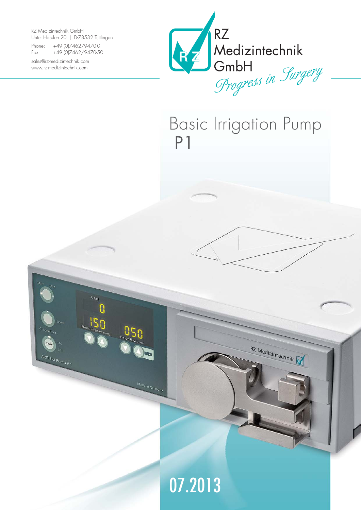RZ Medizintechnik GmbH Unter Hasslen 20 | D-78532 Tuttlingen

Phone: +49 (0)7462/9470-0 Fax: +49 (0)7462/9470-50

sales@rz-medizintechnik.com www.rz-medizintechnik.com

ARTHRO PUMP P 1



RZ Medizintechnik

# Basic Irrigation Pump P1



Made in Germany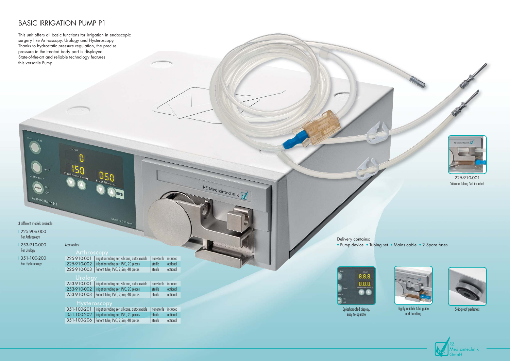### BASIC IRRIGATION PUMP P1

This unit offers all basic functions for irrigation in endoscopic surgery like Arthoscopy, Urology and Hysteroscopy. Thanks to hydrostatic pressure regulation, the precise pressure in the treated body part is displayed. State-of-the-art and reliable technology features this versatile Pump.

Actual



Highly reliable tube guide Skid-proof pedestals and handling







 $8.8.8.$ 

easy to operate



#### • Pump device • Tubing set • Mains cable • 2 Spare fuses

#### 3 different models available:

ARTHRO Pump P 1

I 225-906-000 For Arthroscopy

I 253-910-000 For Urology

I 351-100-200

For Hysteroscopy

| Arthroscopy |  |  |
|-------------|--|--|
|             |  |  |

Delivery contains:

| 225-910-002   Irrigation tubing set, PVC, 20 pieces<br>l sterile<br>225-910-003   Patient tube, PVC, 2,5m, 40 pieces<br>  sterile | 225-910-001   Irrigation tubing set, silicone, autoclavable | non-sterile   included |          |
|-----------------------------------------------------------------------------------------------------------------------------------|-------------------------------------------------------------|------------------------|----------|
|                                                                                                                                   |                                                             |                        | optional |
|                                                                                                                                   |                                                             |                        | optional |

Made in German

RZ Medizintechnik

#### Urology

| 253-910-001   Irrigation tubing set, silicone, autoclavable | non-sterile   included |          |
|-------------------------------------------------------------|------------------------|----------|
| 253-910-002   Irrigation tubing set, PVC, 20 pieces         | l sterile              | optional |
| 253-910-003   Patient tube, PVC, 2,5m, 40 pieces            | sterile                | optional |

#### Hysteroscopy

| 351-100-201   Irrigation tubing set, silicone, autoclavable | non-sterile   included |          |
|-------------------------------------------------------------|------------------------|----------|
| 351-100-202   Irrigation tubing set, PVC, 20 pieces         | l sterile              | optional |
| 351-100-206   Patient tube, PVC, 2,5m, 40 pieces            | sterile                | optional |

Accessories: